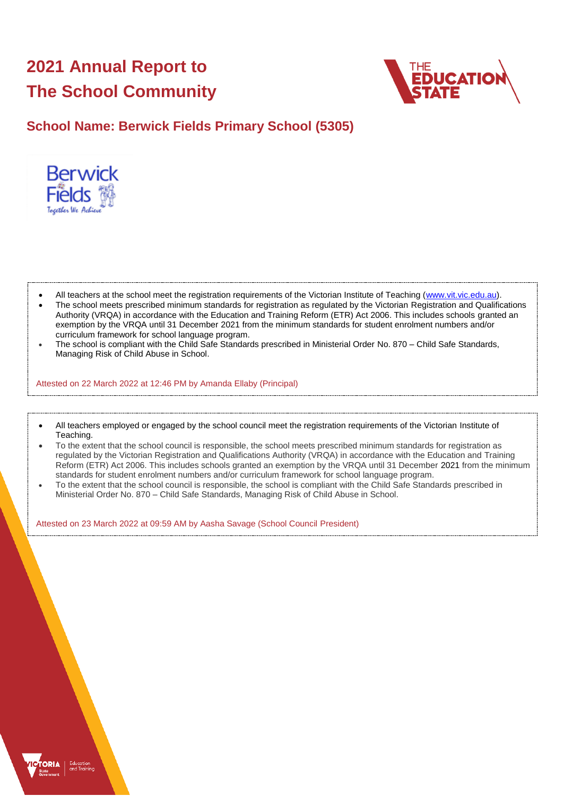# **2021 Annual Report to The School Community**



### **School Name: Berwick Fields Primary School (5305)**



- All teachers at the school meet the registration requirements of the Victorian Institute of Teaching [\(www.vit.vic.edu.au\)](https://www.vit.vic.edu.au/).
- The school meets prescribed minimum standards for registration as regulated by the Victorian Registration and Qualifications Authority (VRQA) in accordance with the Education and Training Reform (ETR) Act 2006. This includes schools granted an exemption by the VRQA until 31 December 2021 from the minimum standards for student enrolment numbers and/or curriculum framework for school language program.
- The school is compliant with the Child Safe Standards prescribed in Ministerial Order No. 870 Child Safe Standards, Managing Risk of Child Abuse in School.

Attested on 22 March 2022 at 12:46 PM by Amanda Ellaby (Principal)

- All teachers employed or engaged by the school council meet the registration requirements of the Victorian Institute of Teaching.
- To the extent that the school council is responsible, the school meets prescribed minimum standards for registration as regulated by the Victorian Registration and Qualifications Authority (VRQA) in accordance with the Education and Training Reform (ETR) Act 2006. This includes schools granted an exemption by the VRQA until 31 December 2021 from the minimum standards for student enrolment numbers and/or curriculum framework for school language program.
- To the extent that the school council is responsible, the school is compliant with the Child Safe Standards prescribed in Ministerial Order No. 870 – Child Safe Standards, Managing Risk of Child Abuse in School.

Attested on 23 March 2022 at 09:59 AM by Aasha Savage (School Council President)

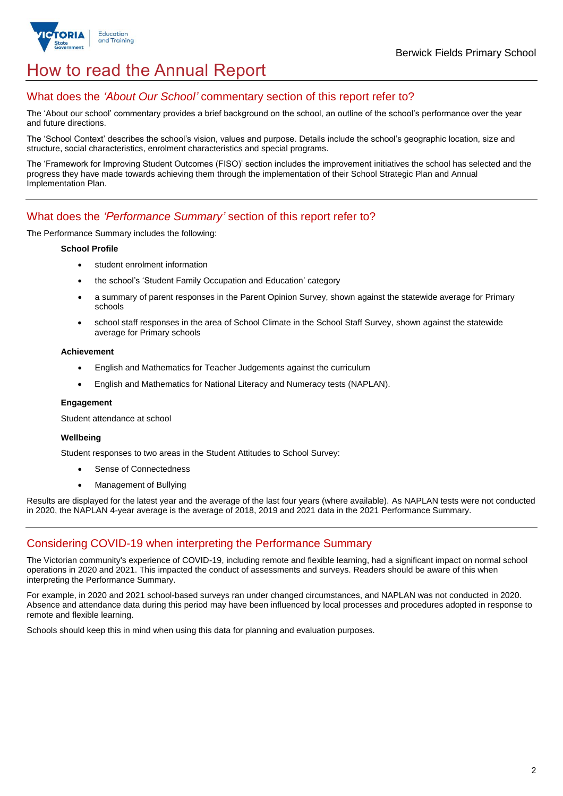

## How to read the Annual Report

### What does the *'About Our School'* commentary section of this report refer to?

The 'About our school' commentary provides a brief background on the school, an outline of the school's performance over the year and future directions.

The 'School Context' describes the school's vision, values and purpose. Details include the school's geographic location, size and structure, social characteristics, enrolment characteristics and special programs.

The 'Framework for Improving Student Outcomes (FISO)' section includes the improvement initiatives the school has selected and the progress they have made towards achieving them through the implementation of their School Strategic Plan and Annual Implementation Plan.

#### What does the *'Performance Summary'* section of this report refer to?

The Performance Summary includes the following:

#### **School Profile**

- student enrolment information
- the school's 'Student Family Occupation and Education' category
- a summary of parent responses in the Parent Opinion Survey, shown against the statewide average for Primary schools
- school staff responses in the area of School Climate in the School Staff Survey, shown against the statewide average for Primary schools

#### **Achievement**

- English and Mathematics for Teacher Judgements against the curriculum
- English and Mathematics for National Literacy and Numeracy tests (NAPLAN).

#### **Engagement**

Student attendance at school

#### **Wellbeing**

Student responses to two areas in the Student Attitudes to School Survey:

- Sense of Connectedness
- Management of Bullying

Results are displayed for the latest year and the average of the last four years (where available). As NAPLAN tests were not conducted in 2020, the NAPLAN 4-year average is the average of 2018, 2019 and 2021 data in the 2021 Performance Summary.

### Considering COVID-19 when interpreting the Performance Summary

The Victorian community's experience of COVID-19, including remote and flexible learning, had a significant impact on normal school operations in 2020 and 2021. This impacted the conduct of assessments and surveys. Readers should be aware of this when interpreting the Performance Summary.

For example, in 2020 and 2021 school-based surveys ran under changed circumstances, and NAPLAN was not conducted in 2020. Absence and attendance data during this period may have been influenced by local processes and procedures adopted in response to remote and flexible learning.

Schools should keep this in mind when using this data for planning and evaluation purposes.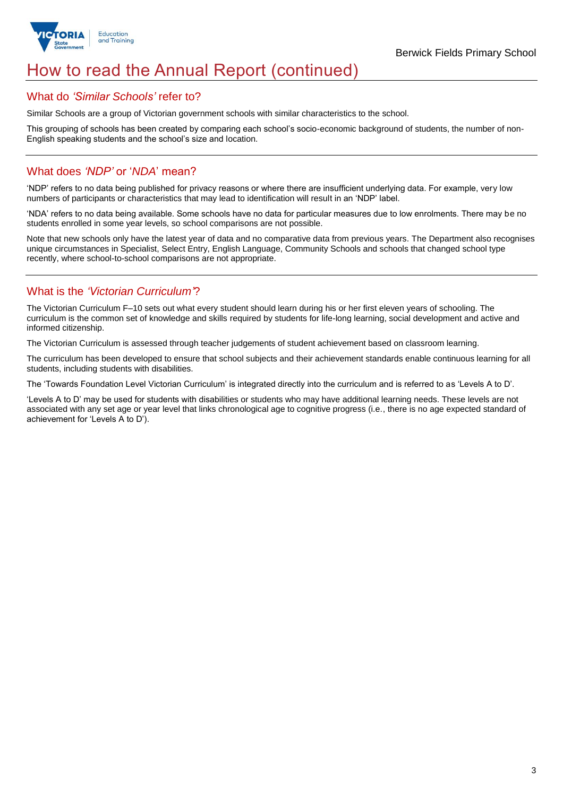

## How to read the Annual Report (continued)

#### What do *'Similar Schools'* refer to?

Similar Schools are a group of Victorian government schools with similar characteristics to the school.

This grouping of schools has been created by comparing each school's socio-economic background of students, the number of non-English speaking students and the school's size and location.

### What does *'NDP'* or '*NDA*' mean?

'NDP' refers to no data being published for privacy reasons or where there are insufficient underlying data. For example, very low numbers of participants or characteristics that may lead to identification will result in an 'NDP' label.

'NDA' refers to no data being available. Some schools have no data for particular measures due to low enrolments. There may be no students enrolled in some year levels, so school comparisons are not possible.

Note that new schools only have the latest year of data and no comparative data from previous years. The Department also recognises unique circumstances in Specialist, Select Entry, English Language, Community Schools and schools that changed school type recently, where school-to-school comparisons are not appropriate.

### What is the *'Victorian Curriculum'*?

The Victorian Curriculum F–10 sets out what every student should learn during his or her first eleven years of schooling. The curriculum is the common set of knowledge and skills required by students for life-long learning, social development and active and informed citizenship.

The Victorian Curriculum is assessed through teacher judgements of student achievement based on classroom learning.

The curriculum has been developed to ensure that school subjects and their achievement standards enable continuous learning for all students, including students with disabilities.

The 'Towards Foundation Level Victorian Curriculum' is integrated directly into the curriculum and is referred to as 'Levels A to D'.

'Levels A to D' may be used for students with disabilities or students who may have additional learning needs. These levels are not associated with any set age or year level that links chronological age to cognitive progress (i.e., there is no age expected standard of achievement for 'Levels A to D').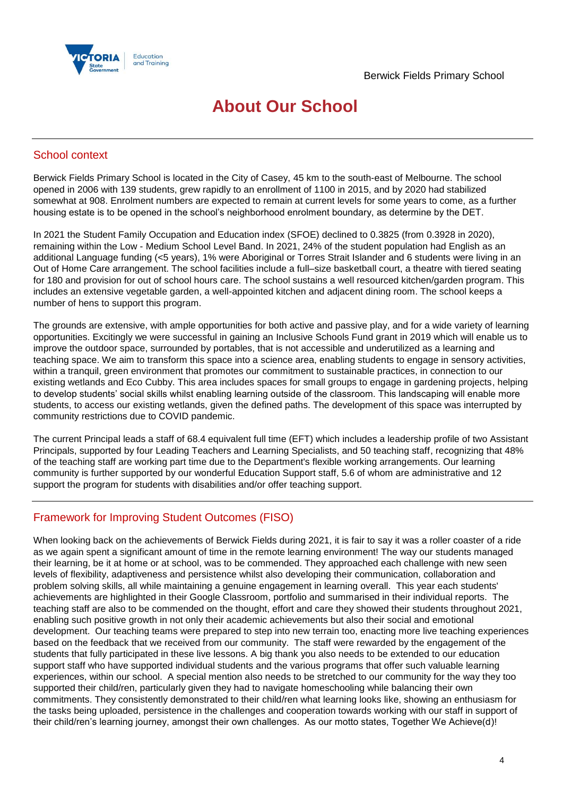

## **About Our School**

### School context

Berwick Fields Primary School is located in the City of Casey, 45 km to the south-east of Melbourne. The school opened in 2006 with 139 students, grew rapidly to an enrollment of 1100 in 2015, and by 2020 had stabilized somewhat at 908. Enrolment numbers are expected to remain at current levels for some years to come, as a further housing estate is to be opened in the school's neighborhood enrolment boundary, as determine by the DET.

In 2021 the Student Family Occupation and Education index (SFOE) declined to 0.3825 (from 0.3928 in 2020), remaining within the Low - Medium School Level Band. In 2021, 24% of the student population had English as an additional Language funding (<5 years), 1% were Aboriginal or Torres Strait Islander and 6 students were living in an Out of Home Care arrangement. The school facilities include a full–size basketball court, a theatre with tiered seating for 180 and provision for out of school hours care. The school sustains a well resourced kitchen/garden program. This includes an extensive vegetable garden, a well-appointed kitchen and adjacent dining room. The school keeps a number of hens to support this program.

The grounds are extensive, with ample opportunities for both active and passive play, and for a wide variety of learning opportunities. Excitingly we were successful in gaining an Inclusive Schools Fund grant in 2019 which will enable us to improve the outdoor space, surrounded by portables, that is not accessible and underutilized as a learning and teaching space. We aim to transform this space into a science area, enabling students to engage in sensory activities, within a tranquil, green environment that promotes our commitment to sustainable practices, in connection to our existing wetlands and Eco Cubby. This area includes spaces for small groups to engage in gardening projects, helping to develop students' social skills whilst enabling learning outside of the classroom. This landscaping will enable more students, to access our existing wetlands, given the defined paths. The development of this space was interrupted by community restrictions due to COVID pandemic.

The current Principal leads a staff of 68.4 equivalent full time (EFT) which includes a leadership profile of two Assistant Principals, supported by four Leading Teachers and Learning Specialists, and 50 teaching staff, recognizing that 48% of the teaching staff are working part time due to the Department's flexible working arrangements. Our learning community is further supported by our wonderful Education Support staff, 5.6 of whom are administrative and 12 support the program for students with disabilities and/or offer teaching support.

### Framework for Improving Student Outcomes (FISO)

When looking back on the achievements of Berwick Fields during 2021, it is fair to say it was a roller coaster of a ride as we again spent a significant amount of time in the remote learning environment! The way our students managed their learning, be it at home or at school, was to be commended. They approached each challenge with new seen levels of flexibility, adaptiveness and persistence whilst also developing their communication, collaboration and problem solving skills, all while maintaining a genuine engagement in learning overall. This year each students' achievements are highlighted in their Google Classroom, portfolio and summarised in their individual reports. The teaching staff are also to be commended on the thought, effort and care they showed their students throughout 2021, enabling such positive growth in not only their academic achievements but also their social and emotional development. Our teaching teams were prepared to step into new terrain too, enacting more live teaching experiences based on the feedback that we received from our community. The staff were rewarded by the engagement of the students that fully participated in these live lessons. A big thank you also needs to be extended to our education support staff who have supported individual students and the various programs that offer such valuable learning experiences, within our school. A special mention also needs to be stretched to our community for the way they too supported their child/ren, particularly given they had to navigate homeschooling while balancing their own commitments. They consistently demonstrated to their child/ren what learning looks like, showing an enthusiasm for the tasks being uploaded, persistence in the challenges and cooperation towards working with our staff in support of their child/ren's learning journey, amongst their own challenges. As our motto states, Together We Achieve(d)!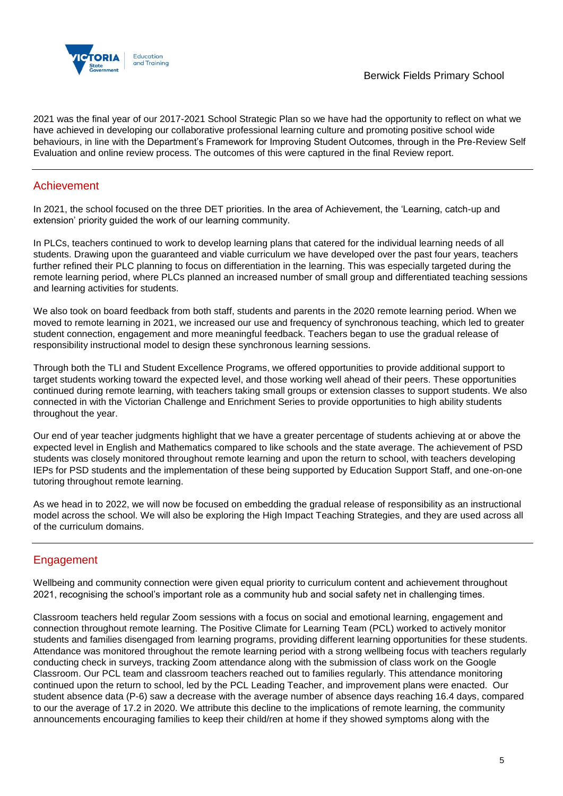

2021 was the final year of our 2017-2021 School Strategic Plan so we have had the opportunity to reflect on what we have achieved in developing our collaborative professional learning culture and promoting positive school wide behaviours, in line with the Department's Framework for Improving Student Outcomes, through in the Pre-Review Self Evaluation and online review process. The outcomes of this were captured in the final Review report.

### Achievement

In 2021, the school focused on the three DET priorities. In the area of Achievement, the 'Learning, catch-up and extension' priority guided the work of our learning community.

In PLCs, teachers continued to work to develop learning plans that catered for the individual learning needs of all students. Drawing upon the guaranteed and viable curriculum we have developed over the past four years, teachers further refined their PLC planning to focus on differentiation in the learning. This was especially targeted during the remote learning period, where PLCs planned an increased number of small group and differentiated teaching sessions and learning activities for students.

We also took on board feedback from both staff, students and parents in the 2020 remote learning period. When we moved to remote learning in 2021, we increased our use and frequency of synchronous teaching, which led to greater student connection, engagement and more meaningful feedback. Teachers began to use the gradual release of responsibility instructional model to design these synchronous learning sessions.

Through both the TLI and Student Excellence Programs, we offered opportunities to provide additional support to target students working toward the expected level, and those working well ahead of their peers. These opportunities continued during remote learning, with teachers taking small groups or extension classes to support students. We also connected in with the Victorian Challenge and Enrichment Series to provide opportunities to high ability students throughout the year.

Our end of year teacher judgments highlight that we have a greater percentage of students achieving at or above the expected level in English and Mathematics compared to like schools and the state average. The achievement of PSD students was closely monitored throughout remote learning and upon the return to school, with teachers developing IEPs for PSD students and the implementation of these being supported by Education Support Staff, and one-on-one tutoring throughout remote learning.

As we head in to 2022, we will now be focused on embedding the gradual release of responsibility as an instructional model across the school. We will also be exploring the High Impact Teaching Strategies, and they are used across all of the curriculum domains.

### Engagement

Wellbeing and community connection were given equal priority to curriculum content and achievement throughout 2021, recognising the school's important role as a community hub and social safety net in challenging times.

Classroom teachers held regular Zoom sessions with a focus on social and emotional learning, engagement and connection throughout remote learning. The Positive Climate for Learning Team (PCL) worked to actively monitor students and families disengaged from learning programs, providing different learning opportunities for these students. Attendance was monitored throughout the remote learning period with a strong wellbeing focus with teachers regularly conducting check in surveys, tracking Zoom attendance along with the submission of class work on the Google Classroom. Our PCL team and classroom teachers reached out to families regularly. This attendance monitoring continued upon the return to school, led by the PCL Leading Teacher, and improvement plans were enacted. Our student absence data (P-6) saw a decrease with the average number of absence days reaching 16.4 days, compared to our the average of 17.2 in 2020. We attribute this decline to the implications of remote learning, the community announcements encouraging families to keep their child/ren at home if they showed symptoms along with the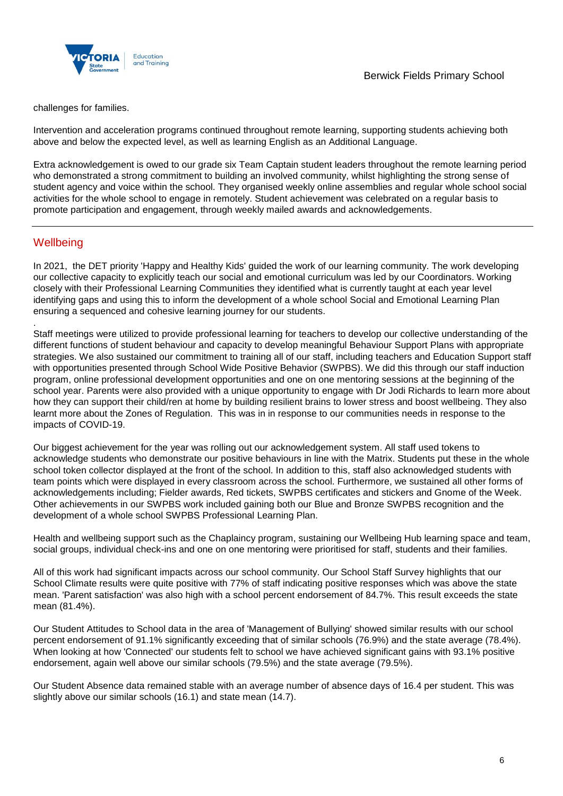

challenges for families.

Intervention and acceleration programs continued throughout remote learning, supporting students achieving both above and below the expected level, as well as learning English as an Additional Language.

Extra acknowledgement is owed to our grade six Team Captain student leaders throughout the remote learning period who demonstrated a strong commitment to building an involved community, whilst highlighting the strong sense of student agency and voice within the school. They organised weekly online assemblies and regular whole school social activities for the whole school to engage in remotely. Student achievement was celebrated on a regular basis to promote participation and engagement, through weekly mailed awards and acknowledgements.

### **Wellbeing**

.

In 2021, the DET priority 'Happy and Healthy Kids' guided the work of our learning community. The work developing our collective capacity to explicitly teach our social and emotional curriculum was led by our Coordinators. Working closely with their Professional Learning Communities they identified what is currently taught at each year level identifying gaps and using this to inform the development of a whole school Social and Emotional Learning Plan ensuring a sequenced and cohesive learning journey for our students.

Staff meetings were utilized to provide professional learning for teachers to develop our collective understanding of the different functions of student behaviour and capacity to develop meaningful Behaviour Support Plans with appropriate strategies. We also sustained our commitment to training all of our staff, including teachers and Education Support staff with opportunities presented through School Wide Positive Behavior (SWPBS). We did this through our staff induction program, online professional development opportunities and one on one mentoring sessions at the beginning of the school year. Parents were also provided with a unique opportunity to engage with Dr Jodi Richards to learn more about how they can support their child/ren at home by building resilient brains to lower stress and boost wellbeing. They also learnt more about the Zones of Regulation. This was in in response to our communities needs in response to the impacts of COVID-19.

Our biggest achievement for the year was rolling out our acknowledgement system. All staff used tokens to acknowledge students who demonstrate our positive behaviours in line with the Matrix. Students put these in the whole school token collector displayed at the front of the school. In addition to this, staff also acknowledged students with team points which were displayed in every classroom across the school. Furthermore, we sustained all other forms of acknowledgements including; Fielder awards, Red tickets, SWPBS certificates and stickers and Gnome of the Week. Other achievements in our SWPBS work included gaining both our Blue and Bronze SWPBS recognition and the development of a whole school SWPBS Professional Learning Plan.

Health and wellbeing support such as the Chaplaincy program, sustaining our Wellbeing Hub learning space and team, social groups, individual check-ins and one on one mentoring were prioritised for staff, students and their families.

All of this work had significant impacts across our school community. Our School Staff Survey highlights that our School Climate results were quite positive with 77% of staff indicating positive responses which was above the state mean. 'Parent satisfaction' was also high with a school percent endorsement of 84.7%. This result exceeds the state mean (81.4%).

Our Student Attitudes to School data in the area of 'Management of Bullying' showed similar results with our school percent endorsement of 91.1% significantly exceeding that of similar schools (76.9%) and the state average (78.4%). When looking at how 'Connected' our students felt to school we have achieved significant gains with 93.1% positive endorsement, again well above our similar schools (79.5%) and the state average (79.5%).

Our Student Absence data remained stable with an average number of absence days of 16.4 per student. This was slightly above our similar schools (16.1) and state mean (14.7).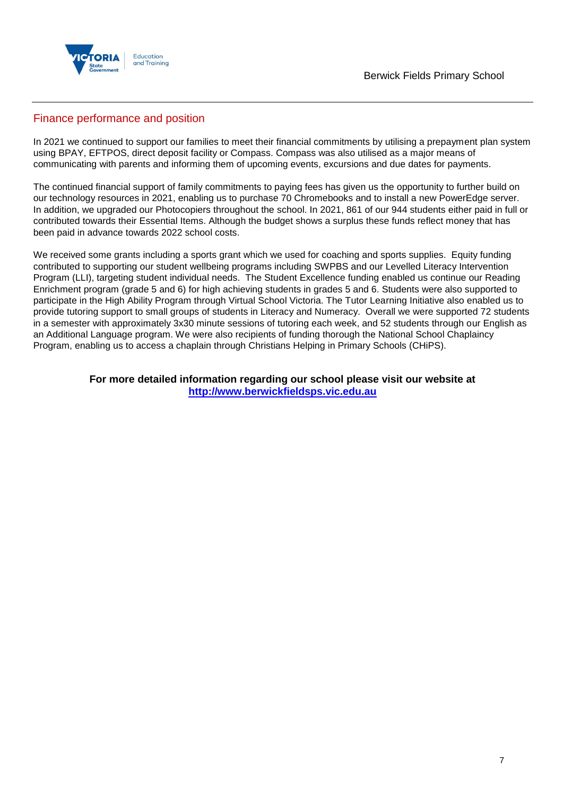

### Finance performance and position

In 2021 we continued to support our families to meet their financial commitments by utilising a prepayment plan system using BPAY, EFTPOS, direct deposit facility or Compass. Compass was also utilised as a major means of communicating with parents and informing them of upcoming events, excursions and due dates for payments.

The continued financial support of family commitments to paying fees has given us the opportunity to further build on our technology resources in 2021, enabling us to purchase 70 Chromebooks and to install a new PowerEdge server. In addition, we upgraded our Photocopiers throughout the school. In 2021, 861 of our 944 students either paid in full or contributed towards their Essential Items. Although the budget shows a surplus these funds reflect money that has been paid in advance towards 2022 school costs.

We received some grants including a sports grant which we used for coaching and sports supplies. Equity funding contributed to supporting our student wellbeing programs including SWPBS and our Levelled Literacy Intervention Program (LLI), targeting student individual needs. The Student Excellence funding enabled us continue our Reading Enrichment program (grade 5 and 6) for high achieving students in grades 5 and 6. Students were also supported to participate in the High Ability Program through Virtual School Victoria. The Tutor Learning Initiative also enabled us to provide tutoring support to small groups of students in Literacy and Numeracy. Overall we were supported 72 students in a semester with approximately 3x30 minute sessions of tutoring each week, and 52 students through our English as an Additional Language program. We were also recipients of funding thorough the National School Chaplaincy Program, enabling us to access a chaplain through Christians Helping in Primary Schools (CHiPS).

#### **For more detailed information regarding our school please visit our website at [http://www.berwickfieldsps.vic.edu.au](http://www.berwickfieldsps.vic.edu.au/)**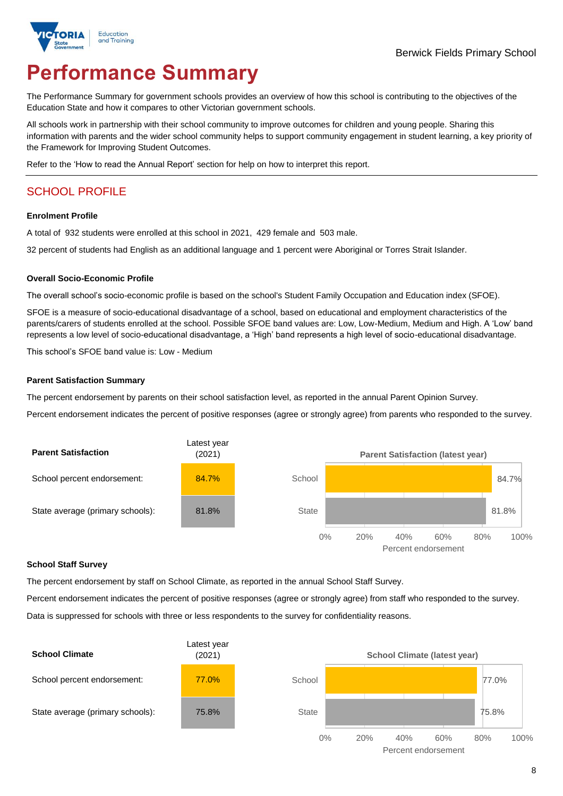

# **Performance Summary**

The Performance Summary for government schools provides an overview of how this school is contributing to the objectives of the Education State and how it compares to other Victorian government schools.

All schools work in partnership with their school community to improve outcomes for children and young people. Sharing this information with parents and the wider school community helps to support community engagement in student learning, a key priority of the Framework for Improving Student Outcomes.

Refer to the 'How to read the Annual Report' section for help on how to interpret this report.

### SCHOOL PROFILE

#### **Enrolment Profile**

A total of 932 students were enrolled at this school in 2021, 429 female and 503 male.

32 percent of students had English as an additional language and 1 percent were Aboriginal or Torres Strait Islander.

#### **Overall Socio-Economic Profile**

The overall school's socio-economic profile is based on the school's Student Family Occupation and Education index (SFOE).

SFOE is a measure of socio-educational disadvantage of a school, based on educational and employment characteristics of the parents/carers of students enrolled at the school. Possible SFOE band values are: Low, Low-Medium, Medium and High. A 'Low' band represents a low level of socio-educational disadvantage, a 'High' band represents a high level of socio-educational disadvantage.

This school's SFOE band value is: Low - Medium

#### **Parent Satisfaction Summary**

The percent endorsement by parents on their school satisfaction level, as reported in the annual Parent Opinion Survey.

Percent endorsement indicates the percent of positive responses (agree or strongly agree) from parents who responded to the survey.



#### **School Staff Survey**

The percent endorsement by staff on School Climate, as reported in the annual School Staff Survey.

Percent endorsement indicates the percent of positive responses (agree or strongly agree) from staff who responded to the survey. Data is suppressed for schools with three or less respondents to the survey for confidentiality reasons.

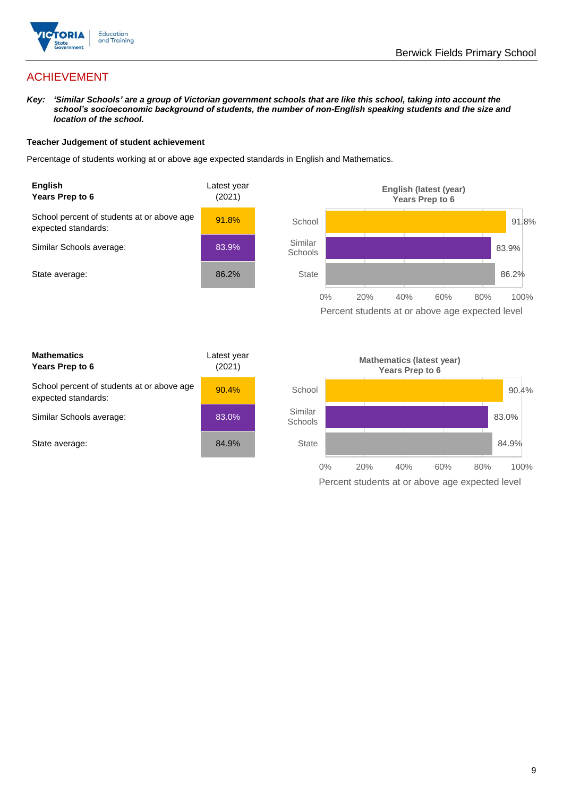

### ACHIEVEMENT

*Key: 'Similar Schools' are a group of Victorian government schools that are like this school, taking into account the school's socioeconomic background of students, the number of non-English speaking students and the size and location of the school.*

#### **Teacher Judgement of student achievement**

Percentage of students working at or above age expected standards in English and Mathematics.



Percent students at or above age expected level

| <b>Mathematics</b><br>Years Prep to 6                             | Latest year<br>(2021) |
|-------------------------------------------------------------------|-----------------------|
| School percent of students at or above age<br>expected standards: | 90.4%                 |
| Similar Schools average:                                          | 83.0%                 |
| State average:                                                    | 84.9%                 |

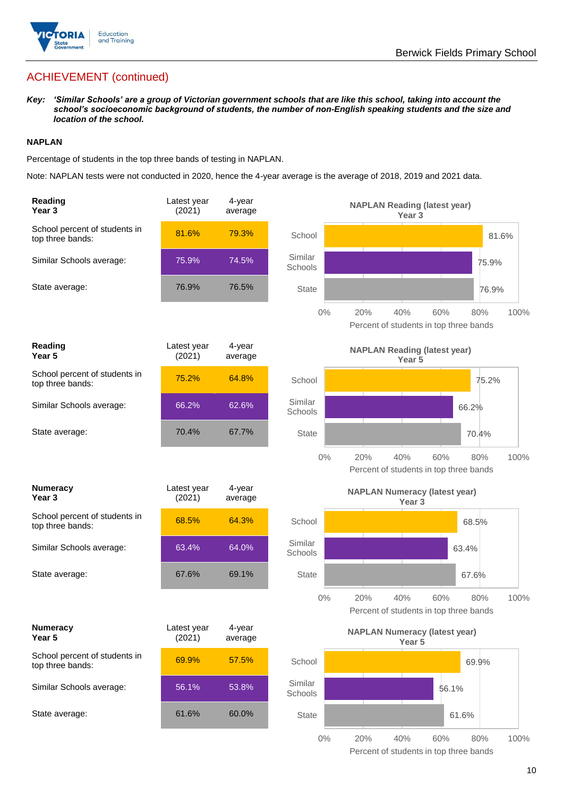

### ACHIEVEMENT (continued)

*Key: 'Similar Schools' are a group of Victorian government schools that are like this school, taking into account the school's socioeconomic background of students, the number of non-English speaking students and the size and location of the school.*

#### **NAPLAN**

Percentage of students in the top three bands of testing in NAPLAN.

Note: NAPLAN tests were not conducted in 2020, hence the 4-year average is the average of 2018, 2019 and 2021 data.

| Reading<br>Year <sub>3</sub>                      | Latest year<br>(2021) | 4-year<br>average |                    | <b>NAPLAN Reading (latest year)</b><br>Year <sub>3</sub> |                                                      |       |
|---------------------------------------------------|-----------------------|-------------------|--------------------|----------------------------------------------------------|------------------------------------------------------|-------|
| School percent of students in<br>top three bands: | 81.6%                 | 79.3%             | School             |                                                          |                                                      | 81.6% |
| Similar Schools average:                          | 75.9%                 | 74.5%             | Similar<br>Schools |                                                          | 75.9%                                                |       |
| State average:                                    | 76.9%                 | 76.5%             | <b>State</b>       |                                                          | 76.9%                                                |       |
|                                                   |                       |                   | $0\%$              | 20%<br>40%                                               | 60%<br>80%<br>Percent of students in top three bands | 100%  |
| Reading<br>Year <sub>5</sub>                      | Latest year<br>(2021) | 4-year<br>average |                    | <b>NAPLAN Reading (latest year)</b><br>Year <sub>5</sub> |                                                      |       |
| School percent of students in<br>top three bands: | 75.2%                 | 64.8%             | School             |                                                          | 75.2%                                                |       |
| Similar Schools average:                          | 66.2%                 | 62.6%             | Similar<br>Schools |                                                          | 66.2%                                                |       |
| State average:                                    | 70.4%                 | 67.7%             | <b>State</b>       |                                                          | 70.4%                                                |       |
|                                                   |                       |                   | $0\%$              | 20%<br>40%                                               | 60%<br>80%<br>Percent of students in top three bands | 100%  |
| <b>Numeracy</b><br>Year <sub>3</sub>              | Latest year<br>(2021) | 4-year<br>average |                    | Year <sub>3</sub>                                        | <b>NAPLAN Numeracy (latest year)</b>                 |       |
| School percent of students in<br>top three bands: | 68.5%                 | 64.3%             | School             |                                                          | 68.5%                                                |       |
| Similar Schools average:                          | 63.4%                 | 64.0%             | Similar<br>Schools |                                                          | 63.4%                                                |       |
| State average:                                    | 67.6%                 | 69.1%             | <b>State</b>       |                                                          | 67.6%                                                |       |
|                                                   |                       |                   | $0\%$              | 20%<br>40%                                               | 60%<br>80%<br>Percent of students in top three bands | 100%  |
| <b>Numeracy</b><br>Year 5                         | Latest year<br>(2021) | 4-year<br>average |                    | <b>NAPLAN Numeracy (latest year)</b><br>Year 5           |                                                      |       |
| School percent of students in<br>top three bands: | 69.9%                 | 57.5%             | School             |                                                          | 69.9%                                                |       |
| Similar Schools average:                          | 56.1%                 | 53.8%             | Similar<br>Schools |                                                          | 56.1%                                                |       |
|                                                   |                       |                   |                    |                                                          |                                                      |       |
| State average:                                    | 61.6%                 | 60.0%             | <b>State</b>       |                                                          | 61.6%                                                |       |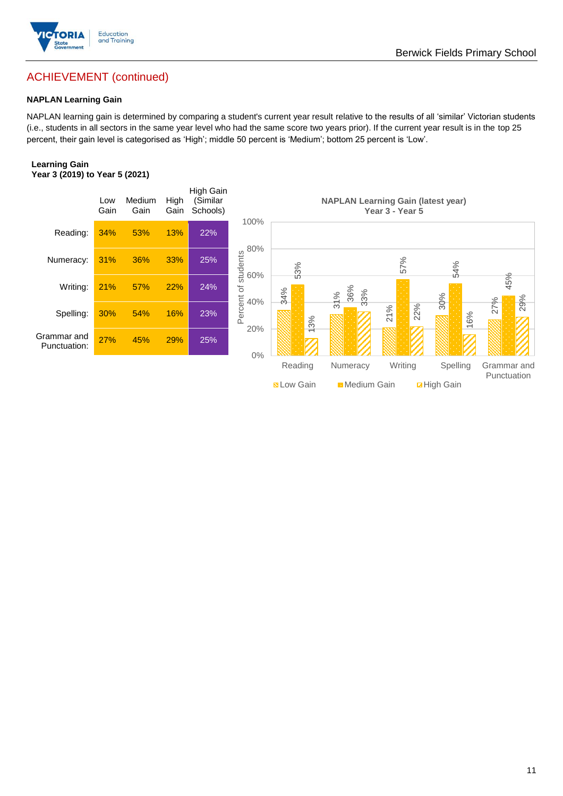

### ACHIEVEMENT (continued)

#### **NAPLAN Learning Gain**

NAPLAN learning gain is determined by comparing a student's current year result relative to the results of all 'similar' Victorian students (i.e., students in all sectors in the same year level who had the same score two years prior). If the current year result is in the top 25 percent, their gain level is categorised as 'High'; middle 50 percent is 'Medium'; bottom 25 percent is 'Low'.

Berwick Fields Primary School

#### **Learning Gain Year 3 (2019) to Year 5 (2021)**



**BLow Gain** Medium Gain **Example 10**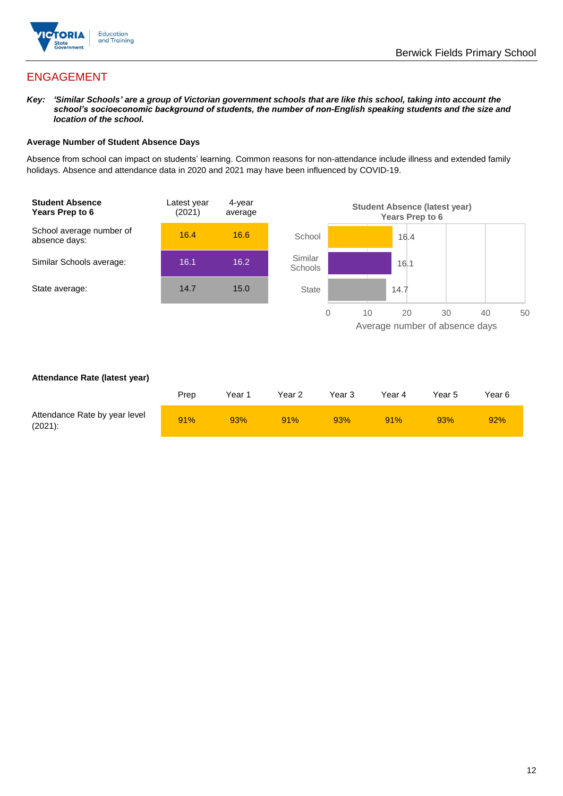

### ENGAGEMENT

*Key: 'Similar Schools' are a group of Victorian government schools that are like this school, taking into account the school's socioeconomic background of students, the number of non-English speaking students and the size and location of the school.*

#### **Average Number of Student Absence Days**

Absence from school can impact on students' learning. Common reasons for non-attendance include illness and extended family holidays. Absence and attendance data in 2020 and 2021 may have been influenced by COVID-19.



#### **Attendance Rate (latest year)**

|                                             | Prep | Year 1 | Year 2 | Year 3 | Year 4 | Year 5 | Year 6 |
|---------------------------------------------|------|--------|--------|--------|--------|--------|--------|
| Attendance Rate by year level<br>$(2021)$ : | 91%  | 93%    | 91%    | 93%    | 91%    | 93%    | 92%    |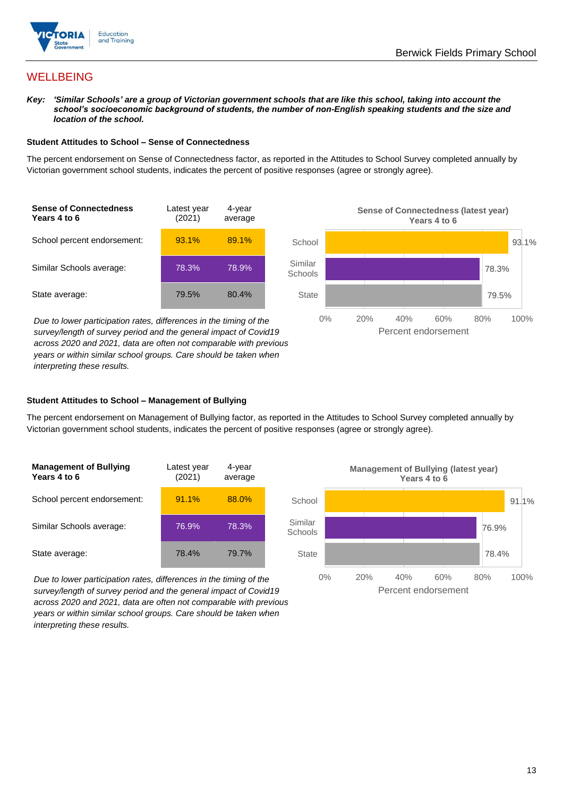

### **WELLBEING**

*Key: 'Similar Schools' are a group of Victorian government schools that are like this school, taking into account the*  school's socioeconomic background of students, the number of non-English speaking students and the size and *location of the school.*

#### **Student Attitudes to School – Sense of Connectedness**

The percent endorsement on Sense of Connectedness factor, as reported in the Attitudes to School Survey completed annually by Victorian government school students, indicates the percent of positive responses (agree or strongly agree).



*Due to lower participation rates, differences in the timing of the survey/length of survey period and the general impact of Covid19 across 2020 and 2021, data are often not comparable with previous years or within similar school groups. Care should be taken when interpreting these results.*



#### **Student Attitudes to School – Management of Bullying**

The percent endorsement on Management of Bullying factor, as reported in the Attitudes to School Survey completed annually by Victorian government school students, indicates the percent of positive responses (agree or strongly agree).

| <b>Management of Bullying</b><br>Years 4 to 6 | Latest year<br>(2021) | 4-year<br>average |  |
|-----------------------------------------------|-----------------------|-------------------|--|
| School percent endorsement:                   | 91.1%                 | 88.0%             |  |
| Similar Schools average:                      | 76.9%                 | 78.3%             |  |
| State average:                                | 78.4%                 | 79.7%             |  |

*Due to lower participation rates, differences in the timing of the survey/length of survey period and the general impact of Covid19 across 2020 and 2021, data are often not comparable with previous years or within similar school groups. Care should be taken when interpreting these results.*

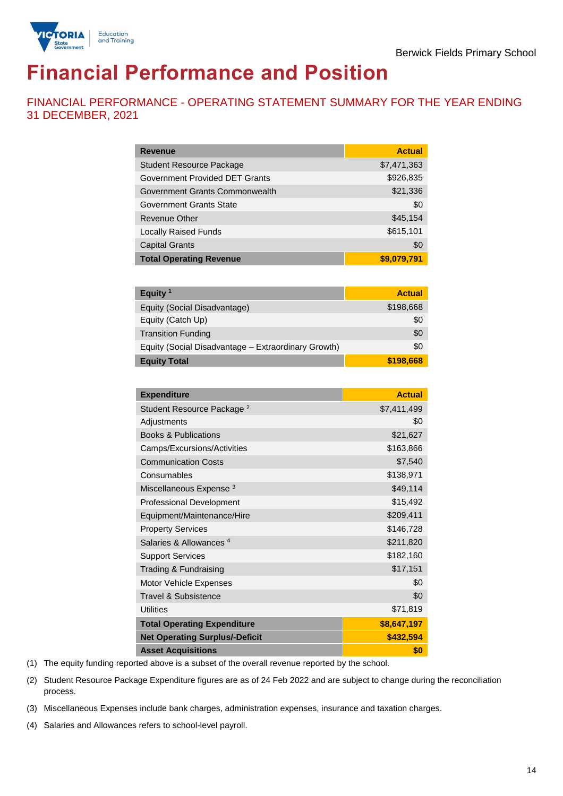

# **Financial Performance and Position**

FINANCIAL PERFORMANCE - OPERATING STATEMENT SUMMARY FOR THE YEAR ENDING 31 DECEMBER, 2021

| <b>Revenue</b>                  | <b>Actual</b> |
|---------------------------------|---------------|
| <b>Student Resource Package</b> | \$7,471,363   |
| Government Provided DET Grants  | \$926,835     |
| Government Grants Commonwealth  | \$21,336      |
| Government Grants State         | \$0           |
| Revenue Other                   | \$45,154      |
| <b>Locally Raised Funds</b>     | \$615,101     |
| <b>Capital Grants</b>           | \$0           |
| <b>Total Operating Revenue</b>  | \$9,079,791   |

| Equity <sup>1</sup>                                 | <b>Actual</b> |
|-----------------------------------------------------|---------------|
| Equity (Social Disadvantage)                        | \$198,668     |
| Equity (Catch Up)                                   | \$0           |
| <b>Transition Funding</b>                           | \$0           |
| Equity (Social Disadvantage - Extraordinary Growth) | \$0           |
| <b>Equity Total</b>                                 | \$198,668     |

| <b>Expenditure</b>                    | <b>Actual</b> |
|---------------------------------------|---------------|
| Student Resource Package <sup>2</sup> | \$7,411,499   |
| Adjustments                           | \$0           |
| <b>Books &amp; Publications</b>       | \$21,627      |
| Camps/Excursions/Activities           | \$163,866     |
| <b>Communication Costs</b>            | \$7,540       |
| Consumables                           | \$138,971     |
| Miscellaneous Expense <sup>3</sup>    | \$49,114      |
| <b>Professional Development</b>       | \$15,492      |
| Equipment/Maintenance/Hire            | \$209,411     |
| <b>Property Services</b>              | \$146,728     |
| Salaries & Allowances <sup>4</sup>    | \$211,820     |
| <b>Support Services</b>               | \$182,160     |
| Trading & Fundraising                 | \$17,151      |
| Motor Vehicle Expenses                | \$0           |
| Travel & Subsistence                  | \$0           |
| <b>Utilities</b>                      | \$71,819      |
| <b>Total Operating Expenditure</b>    | \$8,647,197   |
| <b>Net Operating Surplus/-Deficit</b> | \$432,594     |
| <b>Asset Acquisitions</b>             | \$0           |

(1) The equity funding reported above is a subset of the overall revenue reported by the school.

(2) Student Resource Package Expenditure figures are as of 24 Feb 2022 and are subject to change during the reconciliation process.

(3) Miscellaneous Expenses include bank charges, administration expenses, insurance and taxation charges.

(4) Salaries and Allowances refers to school-level payroll.